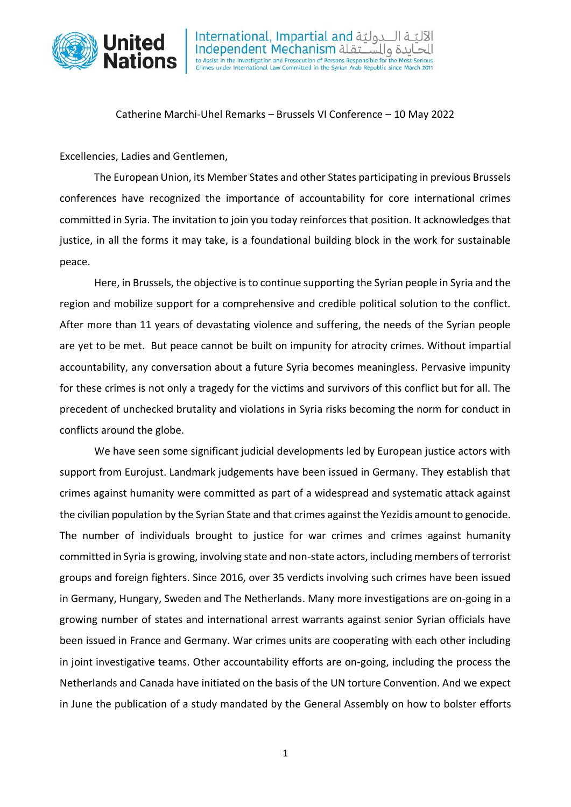

International, Impartial and لتة Independent Mechanism alor حايدة والس to Assist in the Investigation and Prosecution of Persons Responsible for the Most Serious Crimes under International Law Committed in the Syrian Arab Republic since March 2011

Catherine Marchi-Uhel Remarks – Brussels VI Conference – 10 May 2022

Excellencies, Ladies and Gentlemen,

The European Union, its Member States and other States participating in previous Brussels conferences have recognized the importance of accountability for core international crimes committed in Syria. The invitation to join you today reinforces that position. It acknowledges that justice, in all the forms it may take, is a foundational building block in the work for sustainable peace.

Here, in Brussels, the objective is to continue supporting the Syrian people in Syria and the region and mobilize support for a comprehensive and credible political solution to the conflict. After more than 11 years of devastating violence and suffering, the needs of the Syrian people are yet to be met. But peace cannot be built on impunity for atrocity crimes. Without impartial accountability, any conversation about a future Syria becomes meaningless. Pervasive impunity for these crimes is not only a tragedy for the victims and survivors of this conflict but for all. The precedent of unchecked brutality and violations in Syria risks becoming the norm for conduct in conflicts around the globe.

We have seen some significant judicial developments led by European justice actors with support from Eurojust. Landmark judgements have been issued in Germany. They establish that crimes against humanity were committed as part of a widespread and systematic attack against the civilian population by the Syrian State and that crimes against the Yezidis amount to genocide. The number of individuals brought to justice for war crimes and crimes against humanity committed in Syria is growing, involving state and non-state actors, including members of terrorist groups and foreign fighters. Since 2016, over 35 verdicts involving such crimes have been issued in Germany, Hungary, Sweden and The Netherlands. Many more investigations are on-going in a growing number of states and international arrest warrants against senior Syrian officials have been issued in France and Germany. War crimes units are cooperating with each other including in joint investigative teams. Other accountability efforts are on-going, including the process the Netherlands and Canada have initiated on the basis of the UN torture Convention. And we expect in June the publication of a study mandated by the General Assembly on how to bolster efforts